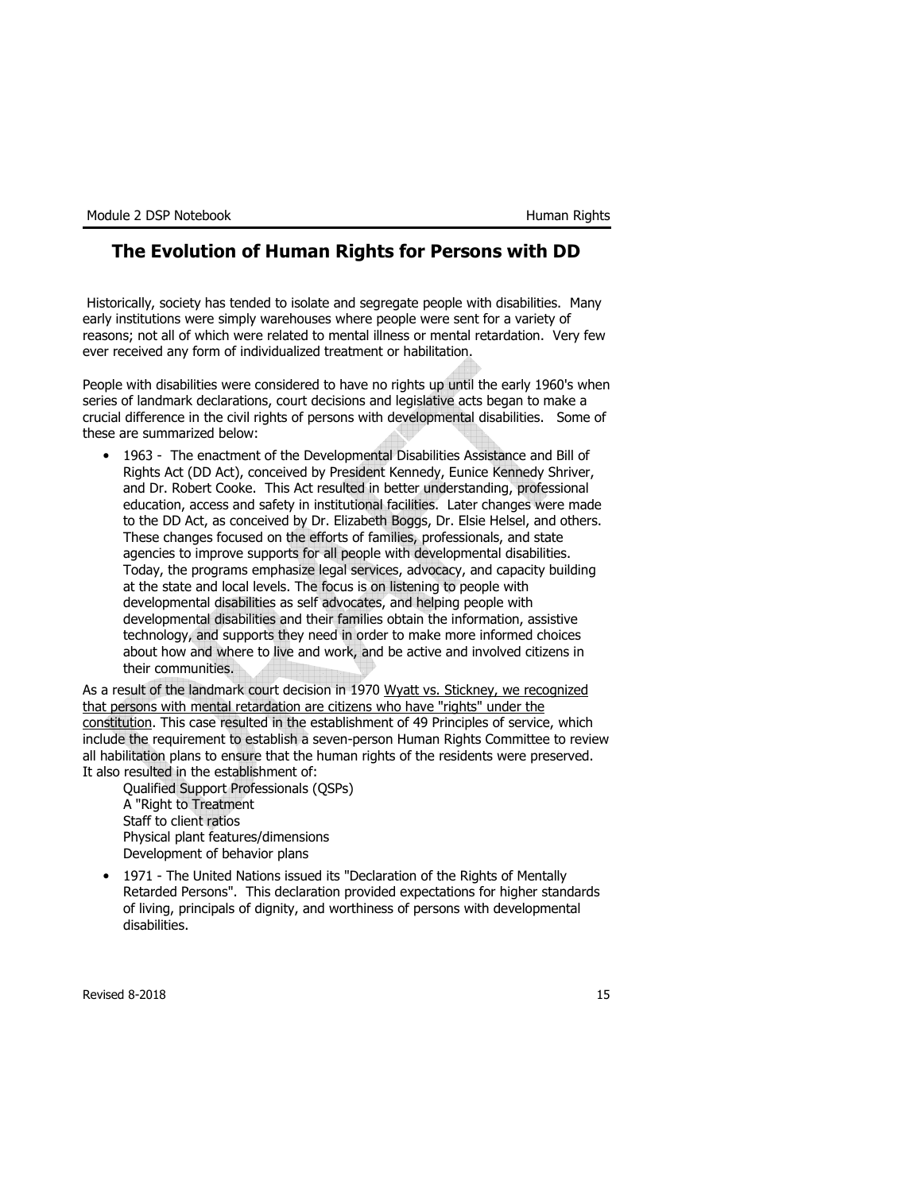# The Evolution of Human Rights for Persons with DD

Historically, society has tended to isolate and segregate people with disabilities. Many early institutions were simply warehouses where people were sent for a variety of reasons; not all of which were related to mental illness or mental retardation. Very few ever received any form of individualized treatment or habilitation.

People with disabilities were considered to have no rights up until the early 1960's when series of landmark declarations, court decisions and legislative acts began to make a crucial difference in the civil rights of persons with developmental disabilities. Some of these are summarized below:

• 1963 - The enactment of the Developmental Disabilities Assistance and Bill of Rights Act (DD Act), conceived by President Kennedy, Eunice Kennedy Shriver, and Dr. Robert Cooke. This Act resulted in better understanding, professional education, access and safety in institutional facilities. Later changes were made to the DD Act, as conceived by Dr. Elizabeth Boggs, Dr. Elsie Helsel, and others. These changes focused on the efforts of families, professionals, and state agencies to improve supports for all people with developmental disabilities. Today, the programs emphasize legal services, advocacy, and capacity building at the state and local levels. The focus is on listening to people with developmental disabilities as self advocates, and helping people with developmental disabilities and their families obtain the information, assistive technology, and supports they need in order to make more informed choices about how and where to live and work, and be active and involved citizens in their communities.

As a result of the landmark court decision in 1970 Wyatt vs. Stickney, we recognized that persons with mental retardation are citizens who have "rights" under the constitution. This case resulted in the establishment of 49 Principles of service, which include the requirement to establish a seven-person Human Rights Committee to review all habilitation plans to ensure that the human rights of the residents were preserved. It also resulted in the establishment of:

Qualified Support Professionals (QSPs) A "Right to Treatment Staff to client ratios Physical plant features/dimensions Development of behavior plans

• 1971 - The United Nations issued its "Declaration of the Rights of Mentally Retarded Persons". This declaration provided expectations for higher standards of living, principals of dignity, and worthiness of persons with developmental disabilities.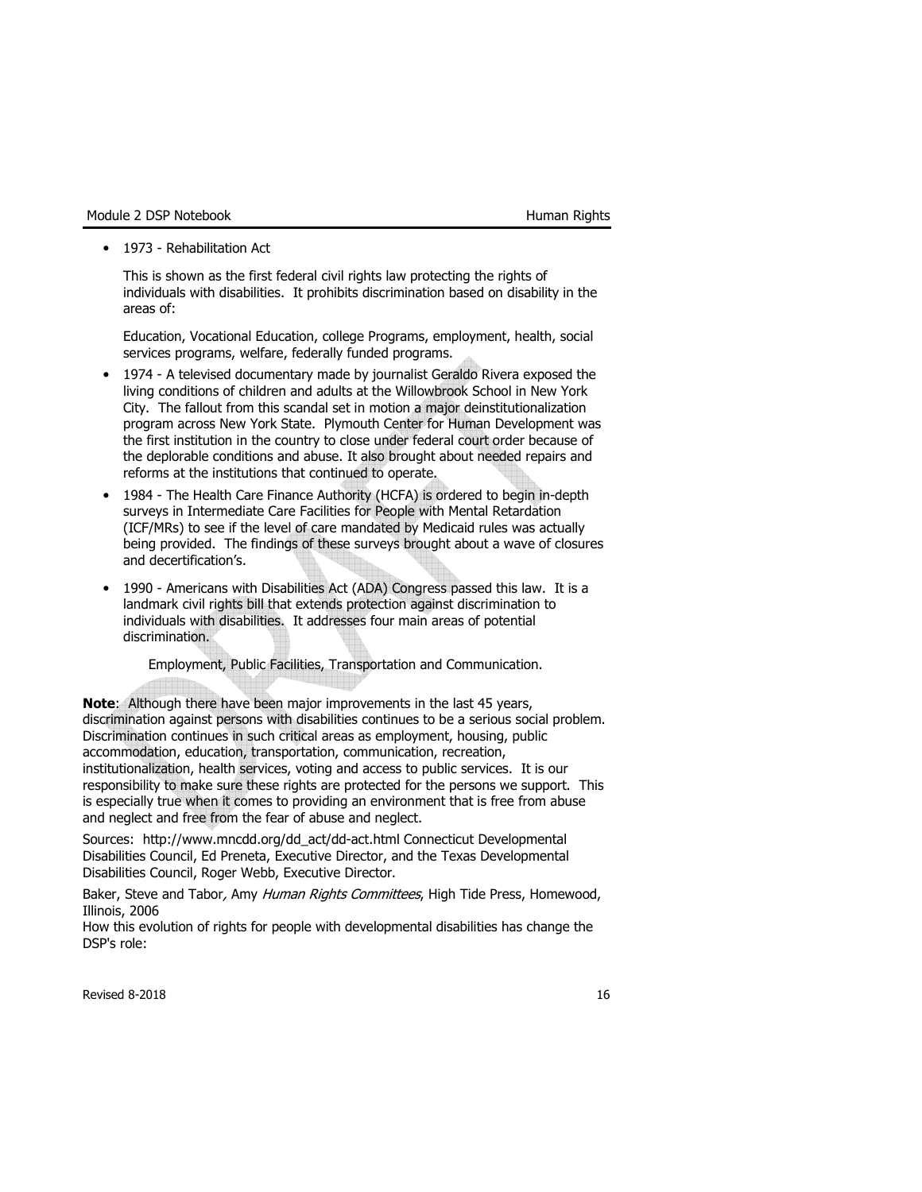• 1973 - Rehabilitation Act

This is shown as the first federal civil rights law protecting the rights of individuals with disabilities. It prohibits discrimination based on disability in the areas of:

Education, Vocational Education, college Programs, employment, health, social services programs, welfare, federally funded programs.

- 1974 A televised documentary made by journalist Geraldo Rivera exposed the living conditions of children and adults at the Willowbrook School in New York City. The fallout from this scandal set in motion a major deinstitutionalization program across New York State. Plymouth Center for Human Development was the first institution in the country to close under federal court order because of the deplorable conditions and abuse. It also brought about needed repairs and reforms at the institutions that continued to operate.
- 1984 The Health Care Finance Authority (HCFA) is ordered to begin in-depth surveys in Intermediate Care Facilities for People with Mental Retardation (ICF/MRs) to see if the level of care mandated by Medicaid rules was actually being provided. The findings of these surveys brought about a wave of closures and decertification's.
- 1990 Americans with Disabilities Act (ADA) Congress passed this law. It is a landmark civil rights bill that extends protection against discrimination to individuals with disabilities. It addresses four main areas of potential discrimination.

Employment, Public Facilities, Transportation and Communication.

Note: Although there have been major improvements in the last 45 years, discrimination against persons with disabilities continues to be a serious social problem. Discrimination continues in such critical areas as employment, housing, public accommodation, education, transportation, communication, recreation, institutionalization, health services, voting and access to public services. It is our responsibility to make sure these rights are protected for the persons we support. This is especially true when it comes to providing an environment that is free from abuse and neglect and free from the fear of abuse and neglect.

Sources: http://www.mncdd.org/dd\_act/dd-act.html Connecticut Developmental Disabilities Council, Ed Preneta, Executive Director, and the Texas Developmental Disabilities Council, Roger Webb, Executive Director.

Baker, Steve and Tabor, Amy Human Rights Committees, High Tide Press, Homewood, Illinois, 2006

How this evolution of rights for people with developmental disabilities has change the DSP's role: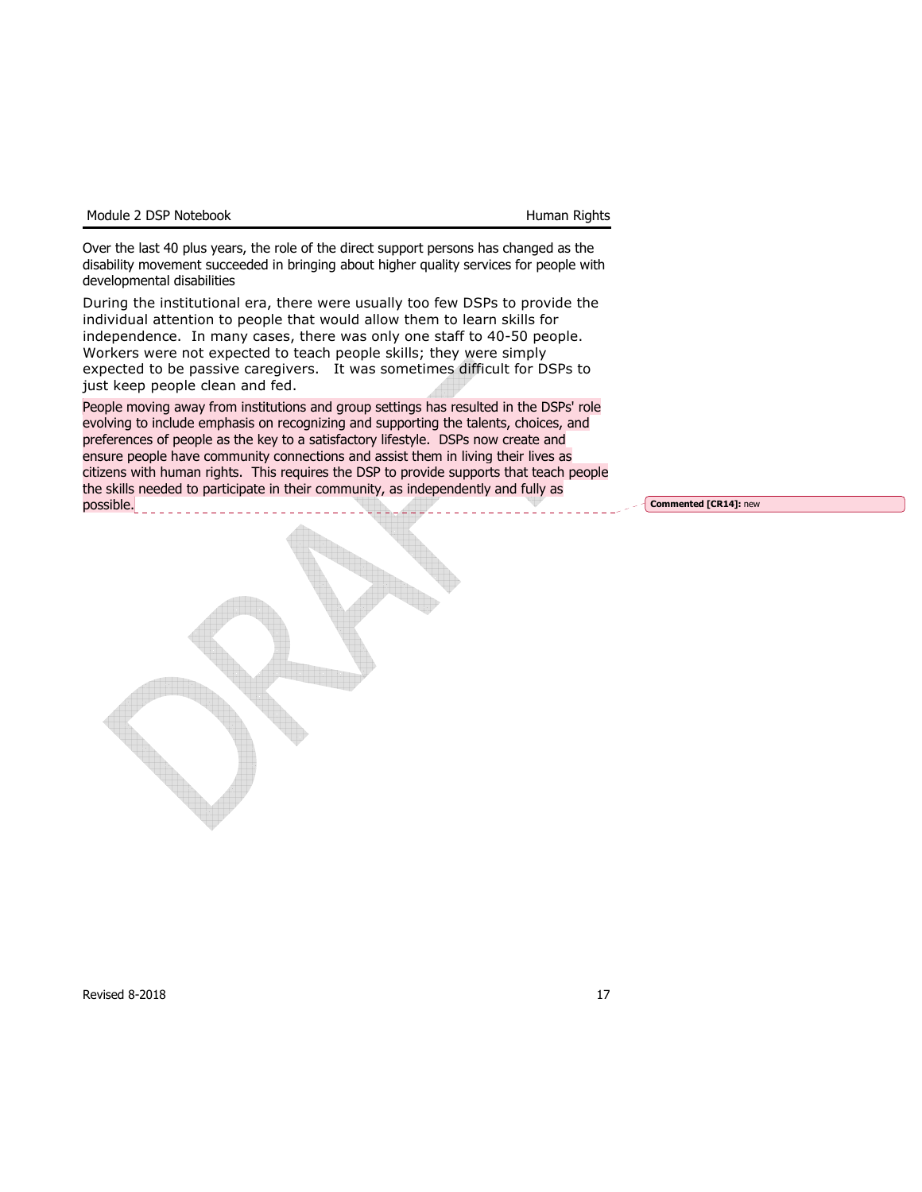|  | Module 2 DSP Notebook |
|--|-----------------------|
|  |                       |

Over the last 40 plus years, the role of the direct support persons has changed as the disability movement succeeded in bringing about higher quality services for people with developmental disabilities

During the institutional era, there were usually too few DSPs to provide the individual attention to people that would allow them to learn skills for independence. In many cases, there was only one staff to 40-50 people. Workers were not expected to teach people skills; they were simply expected to be passive caregivers. It was sometimes difficult for DSPs to just keep people clean and fed.

People moving away from institutions and group settings has resulted in the DSPs' role evolving to include emphasis on recognizing and supporting the talents, choices, and preferences of people as the key to a satisfactory lifestyle. DSPs now create and ensure people have community connections and assist them in living their lives as citizens with human rights. This requires the DSP to provide supports that teach people the skills needed to participate in their community, as independently and fully as

Commented [CR14]: new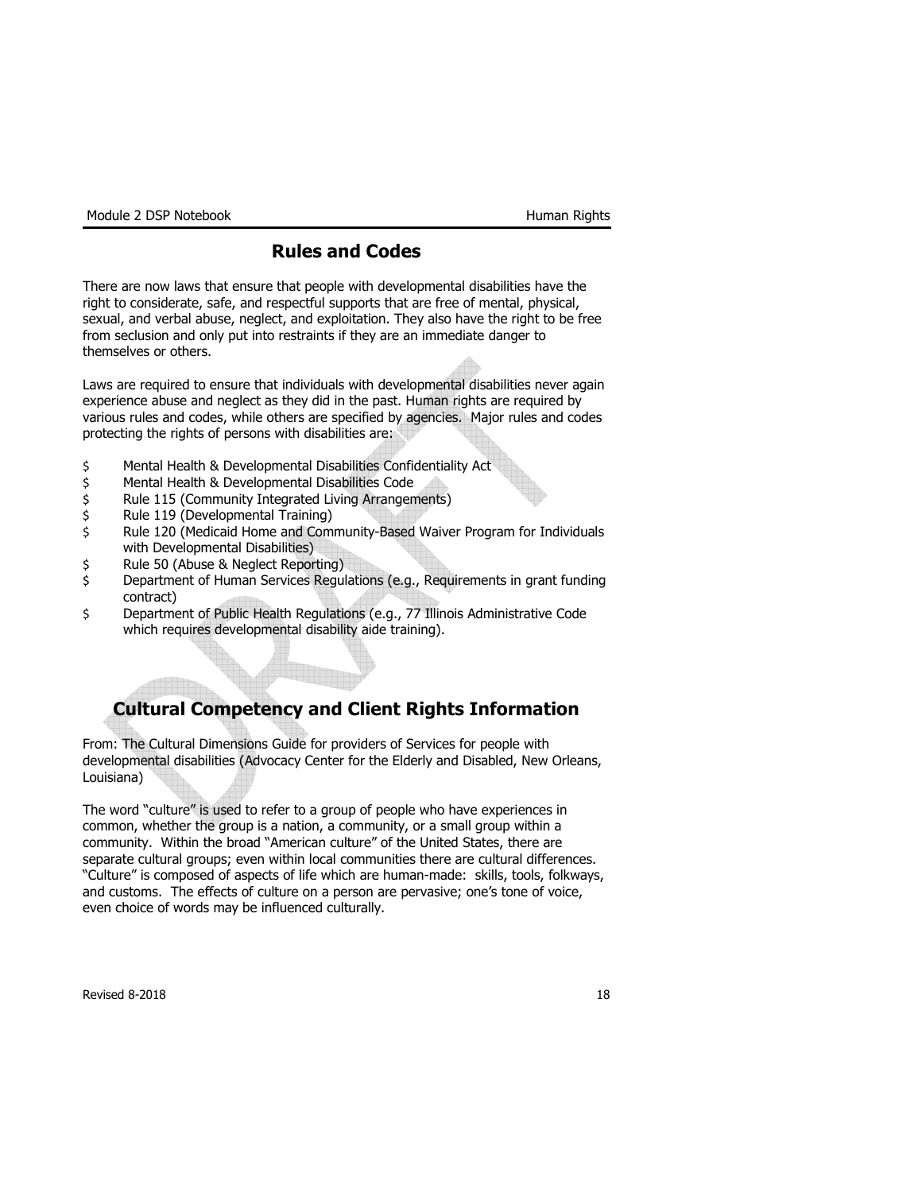Module 2 DSP Notebook **Human Rights** 

# Rules and Codes

There are now laws that ensure that people with developmental disabilities have the right to considerate, safe, and respectful supports that are free of mental, physical, sexual, and verbal abuse, neglect, and exploitation. They also have the right to be free from seclusion and only put into restraints if they are an immediate danger to themselves or others.

Laws are required to ensure that individuals with developmental disabilities never again experience abuse and neglect as they did in the past. Human rights are required by various rules and codes, while others are specified by agencies. Major rules and codes protecting the rights of persons with disabilities are:

- \$ Mental Health & Developmental Disabilities Confidentiality Act
- \$ Mental Health & Developmental Disabilities Code
- \$ Rule 115 (Community Integrated Living Arrangements)
- \$ Rule 119 (Developmental Training)
- \$ Rule 120 (Medicaid Home and Community-Based Waiver Program for Individuals with Developmental Disabilities)
- \$ Rule 50 (Abuse & Neglect Reporting)
- \$ Department of Human Services Regulations (e.g., Requirements in grant funding contract)
- \$ Department of Public Health Regulations (e.g., 77 Illinois Administrative Code which requires developmental disability aide training).

# Cultural Competency and Client Rights Information

From: The Cultural Dimensions Guide for providers of Services for people with developmental disabilities (Advocacy Center for the Elderly and Disabled, New Orleans, Louisiana)

The word "culture" is used to refer to a group of people who have experiences in common, whether the group is a nation, a community, or a small group within a community. Within the broad "American culture" of the United States, there are separate cultural groups; even within local communities there are cultural differences. "Culture" is composed of aspects of life which are human-made: skills, tools, folkways, and customs. The effects of culture on a person are pervasive; one's tone of voice, even choice of words may be influenced culturally.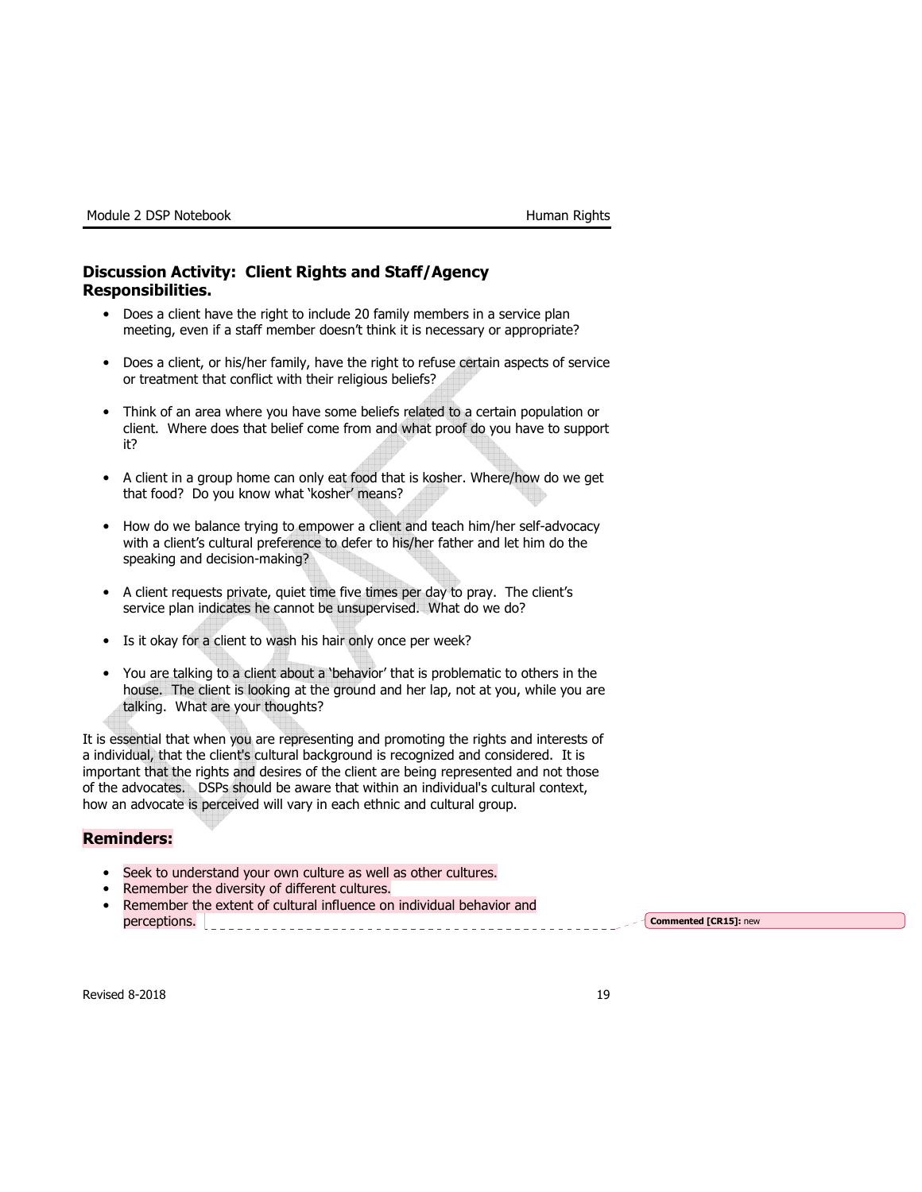## Discussion Activity: Client Rights and Staff/Agency Responsibilities.

- Does a client have the right to include 20 family members in a service plan meeting, even if a staff member doesn't think it is necessary or appropriate?
- Does a client, or his/her family, have the right to refuse certain aspects of service or treatment that conflict with their religious beliefs?
- Think of an area where you have some beliefs related to a certain population or client. Where does that belief come from and what proof do you have to support it?
- A client in a group home can only eat food that is kosher. Where/how do we get that food? Do you know what 'kosher' means?
- How do we balance trying to empower a client and teach him/her self-advocacy with a client's cultural preference to defer to his/her father and let him do the speaking and decision-making?
- A client requests private, quiet time five times per day to pray. The client's service plan indicates he cannot be unsupervised. What do we do?
- Is it okay for a client to wash his hair only once per week?
- You are talking to a client about a 'behavior' that is problematic to others in the house. The client is looking at the ground and her lap, not at you, while you are talking. What are your thoughts?

It is essential that when you are representing and promoting the rights and interests of a individual, that the client's cultural background is recognized and considered. It is important that the rights and desires of the client are being represented and not those of the advocates. DSPs should be aware that within an individual's cultural context, how an advocate is perceived will vary in each ethnic and cultural group.

#### Reminders:

- Seek to understand your own culture as well as other cultures.
- Remember the diversity of different cultures.
- Remember the extent of cultural influence on individual behavior and perceptions. <u>Commented [CR15]:</u> new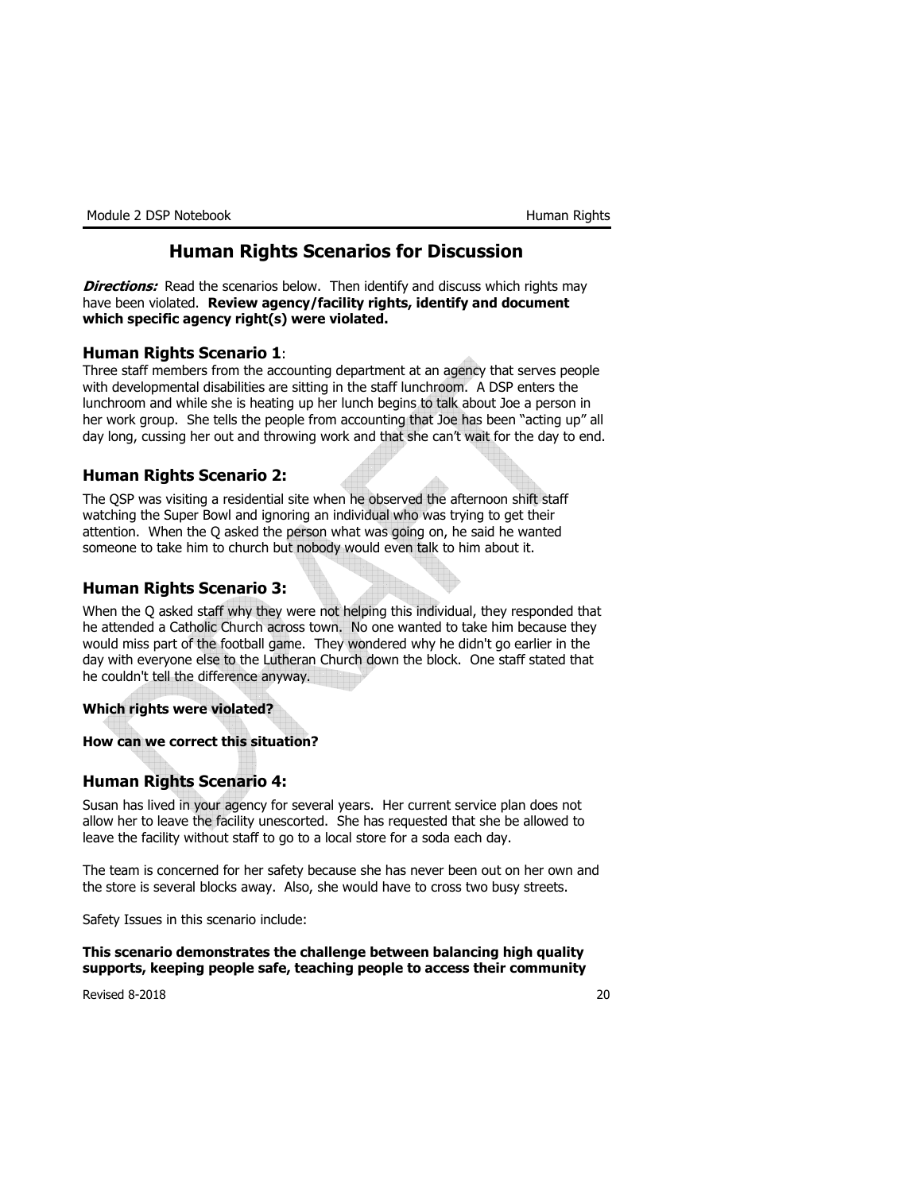# Human Rights Scenarios for Discussion

**Directions:** Read the scenarios below. Then identify and discuss which rights may have been violated. Review agency/facility rights, identify and document which specific agency right(s) were violated.

#### Human Rights Scenario 1:

Three staff members from the accounting department at an agency that serves people with developmental disabilities are sitting in the staff lunchroom. A DSP enters the lunchroom and while she is heating up her lunch begins to talk about Joe a person in her work group. She tells the people from accounting that Joe has been "acting up" all day long, cussing her out and throwing work and that she can't wait for the day to end.

#### Human Rights Scenario 2:

The QSP was visiting a residential site when he observed the afternoon shift staff watching the Super Bowl and ignoring an individual who was trying to get their attention. When the Q asked the person what was going on, he said he wanted someone to take him to church but nobody would even talk to him about it.

## Human Rights Scenario 3:

When the Q asked staff why they were not helping this individual, they responded that he attended a Catholic Church across town. No one wanted to take him because they would miss part of the football game. They wondered why he didn't go earlier in the day with everyone else to the Lutheran Church down the block. One staff stated that he couldn't tell the difference anyway.

#### Which rights were violated?

How can we correct this situation?

#### Human Rights Scenario 4:

Susan has lived in your agency for several years. Her current service plan does not allow her to leave the facility unescorted. She has requested that she be allowed to leave the facility without staff to go to a local store for a soda each day.

The team is concerned for her safety because she has never been out on her own and the store is several blocks away. Also, she would have to cross two busy streets.

Safety Issues in this scenario include:

This scenario demonstrates the challenge between balancing high quality supports, keeping people safe, teaching people to access their community

Revised 8-2018 20 and 20 and 20 and 20 and 20 and 20 and 20 and 20 and 20 and 20 and 20 and 20 and 20 and 20 and 20 and 20 and 20 and 20 and 20 and 20 and 20 and 20 and 20 and 20 and 20 and 20 and 20 and 20 and 20 and 20 a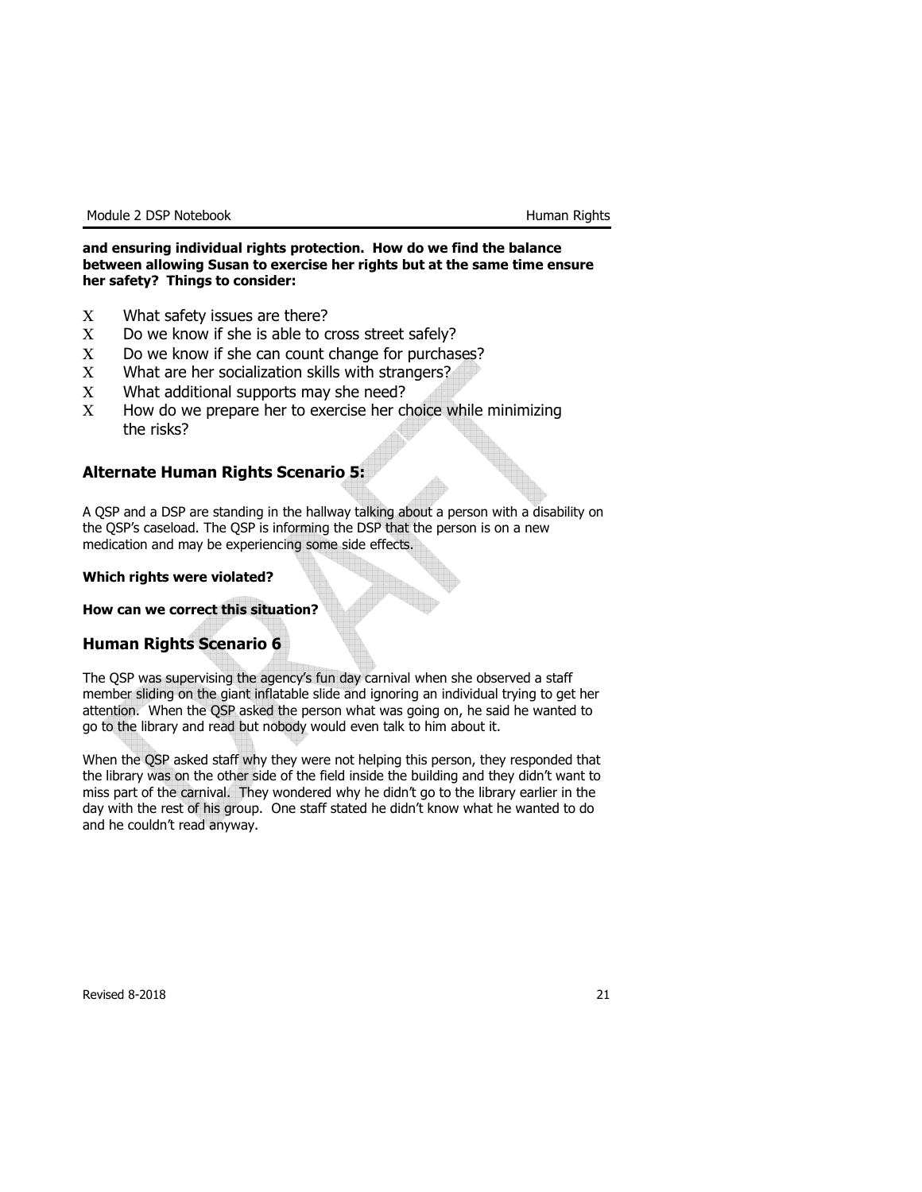#### and ensuring individual rights protection. How do we find the balance between allowing Susan to exercise her rights but at the same time ensure her safety? Things to consider:

- Χ What safety issues are there?
- Χ Do we know if she is able to cross street safely?
- Χ Do we know if she can count change for purchases?
- Χ What are her socialization skills with strangers?
- Χ What additional supports may she need?
- Χ How do we prepare her to exercise her choice while minimizing the risks?

#### Alternate Human Rights Scenario 5:

A QSP and a DSP are standing in the hallway talking about a person with a disability on the QSP's caseload. The QSP is informing the DSP that the person is on a new medication and may be experiencing some side effects.

#### Which rights were violated?

#### How can we correct this situation?

#### Human Rights Scenario 6

The QSP was supervising the agency's fun day carnival when she observed a staff member sliding on the giant inflatable slide and ignoring an individual trying to get her attention. When the QSP asked the person what was going on, he said he wanted to go to the library and read but nobody would even talk to him about it.

When the QSP asked staff why they were not helping this person, they responded that the library was on the other side of the field inside the building and they didn't want to miss part of the carnival. They wondered why he didn't go to the library earlier in the day with the rest of his group. One staff stated he didn't know what he wanted to do and he couldn't read anyway.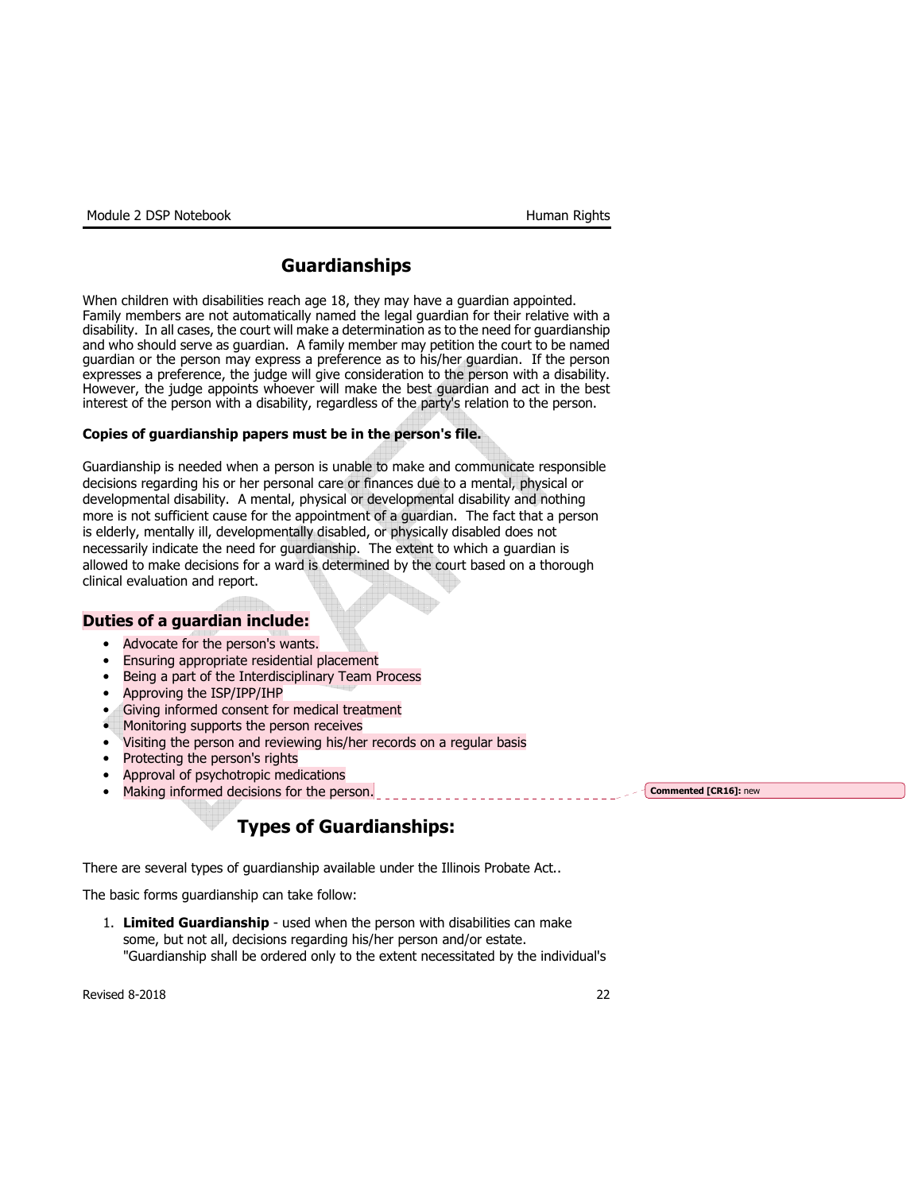# Guardianships

When children with disabilities reach age 18, they may have a guardian appointed. Family members are not automatically named the legal guardian for their relative with a disability. In all cases, the court will make a determination as to the need for guardianship and who should serve as guardian. A family member may petition the court to be named guardian or the person may express a preference as to his/her guardian. If the person expresses a preference, the judge will give consideration to the person with a disability. However, the judge appoints whoever will make the best guardian and act in the best interest of the person with a disability, regardless of the party's relation to the person.

#### Copies of guardianship papers must be in the person's file.

Guardianship is needed when a person is unable to make and communicate responsible decisions regarding his or her personal care or finances due to a mental, physical or developmental disability. A mental, physical or developmental disability and nothing more is not sufficient cause for the appointment of a guardian. The fact that a person is elderly, mentally ill, developmentally disabled, or physically disabled does not necessarily indicate the need for guardianship. The extent to which a guardian is allowed to make decisions for a ward is determined by the court based on a thorough clinical evaluation and report.

#### Duties of a guardian include:

- Advocate for the person's wants.
- Ensuring appropriate residential placement
- Being a part of the Interdisciplinary Team Process
- Approving the ISP/IPP/IHP
- Giving informed consent for medical treatment
- Monitoring supports the person receives
- Visiting the person and reviewing his/her records on a regular basis
- Protecting the person's rights
- Approval of psychotropic medications
- Making informed decisions for the person.

# Types of Guardianships:

There are several types of guardianship available under the Illinois Probate Act..

The basic forms guardianship can take follow:

1. Limited Guardianship - used when the person with disabilities can make some, but not all, decisions regarding his/her person and/or estate. "Guardianship shall be ordered only to the extent necessitated by the individual's

Revised 8-2018 **22** 

Commented [CR16]: new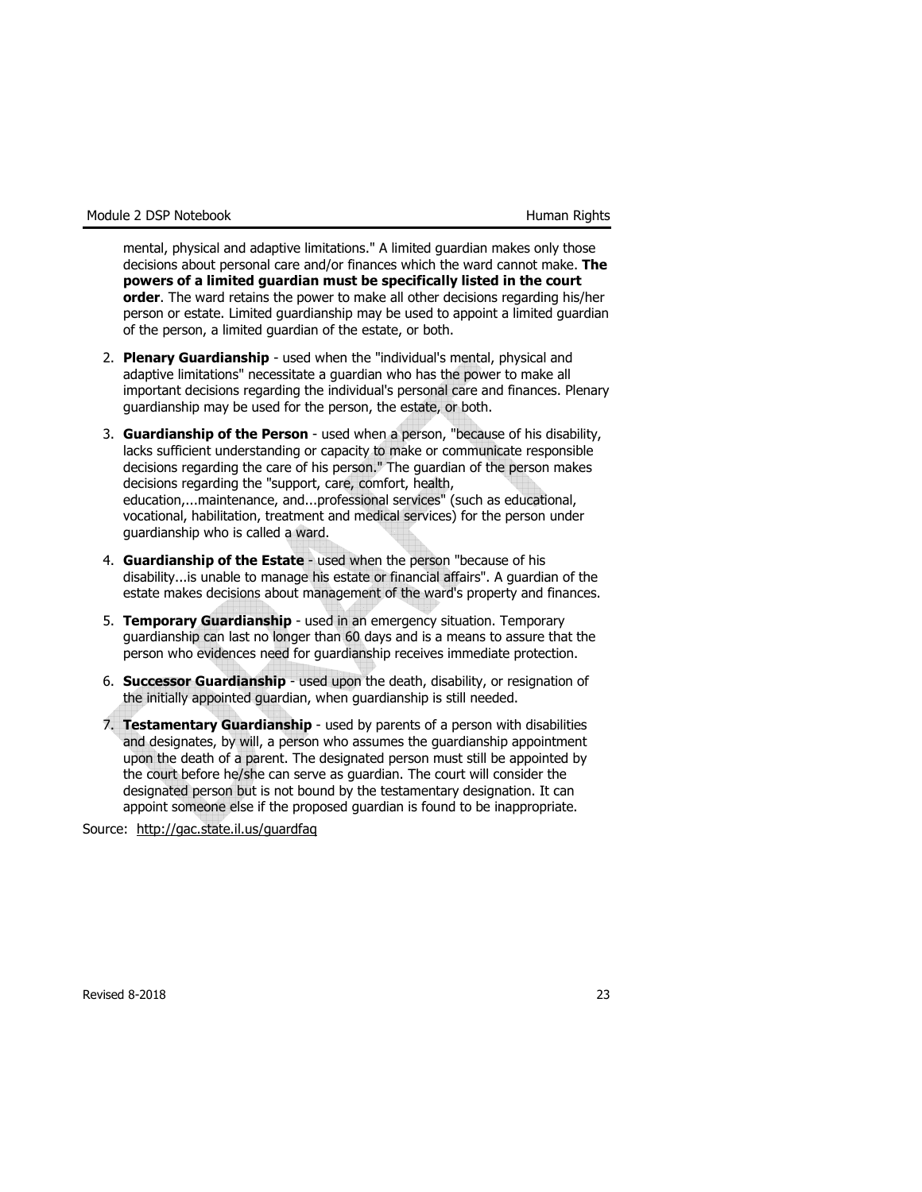mental, physical and adaptive limitations." A limited guardian makes only those decisions about personal care and/or finances which the ward cannot make. The powers of a limited guardian must be specifically listed in the court order. The ward retains the power to make all other decisions regarding his/her person or estate. Limited guardianship may be used to appoint a limited guardian of the person, a limited guardian of the estate, or both.

- 2. Plenary Guardianship used when the "individual's mental, physical and adaptive limitations" necessitate a guardian who has the power to make all important decisions regarding the individual's personal care and finances. Plenary guardianship may be used for the person, the estate, or both.
- 3. Guardianship of the Person used when a person, "because of his disability, lacks sufficient understanding or capacity to make or communicate responsible decisions regarding the care of his person." The guardian of the person makes decisions regarding the "support, care, comfort, health, education,...maintenance, and...professional services" (such as educational, vocational, habilitation, treatment and medical services) for the person under guardianship who is called a ward.
- 4. Guardianship of the Estate used when the person "because of his disability...is unable to manage his estate or financial affairs". A guardian of the estate makes decisions about management of the ward's property and finances.
- 5. Temporary Guardianship used in an emergency situation. Temporary guardianship can last no longer than 60 days and is a means to assure that the person who evidences need for guardianship receives immediate protection.
- 6. Successor Guardianship used upon the death, disability, or resignation of the initially appointed guardian, when guardianship is still needed.
- 7. Testamentary Guardianship used by parents of a person with disabilities and designates, by will, a person who assumes the guardianship appointment upon the death of a parent. The designated person must still be appointed by the court before he/she can serve as guardian. The court will consider the designated person but is not bound by the testamentary designation. It can appoint someone else if the proposed guardian is found to be inappropriate.

Source: http://gac.state.il.us/guardfaq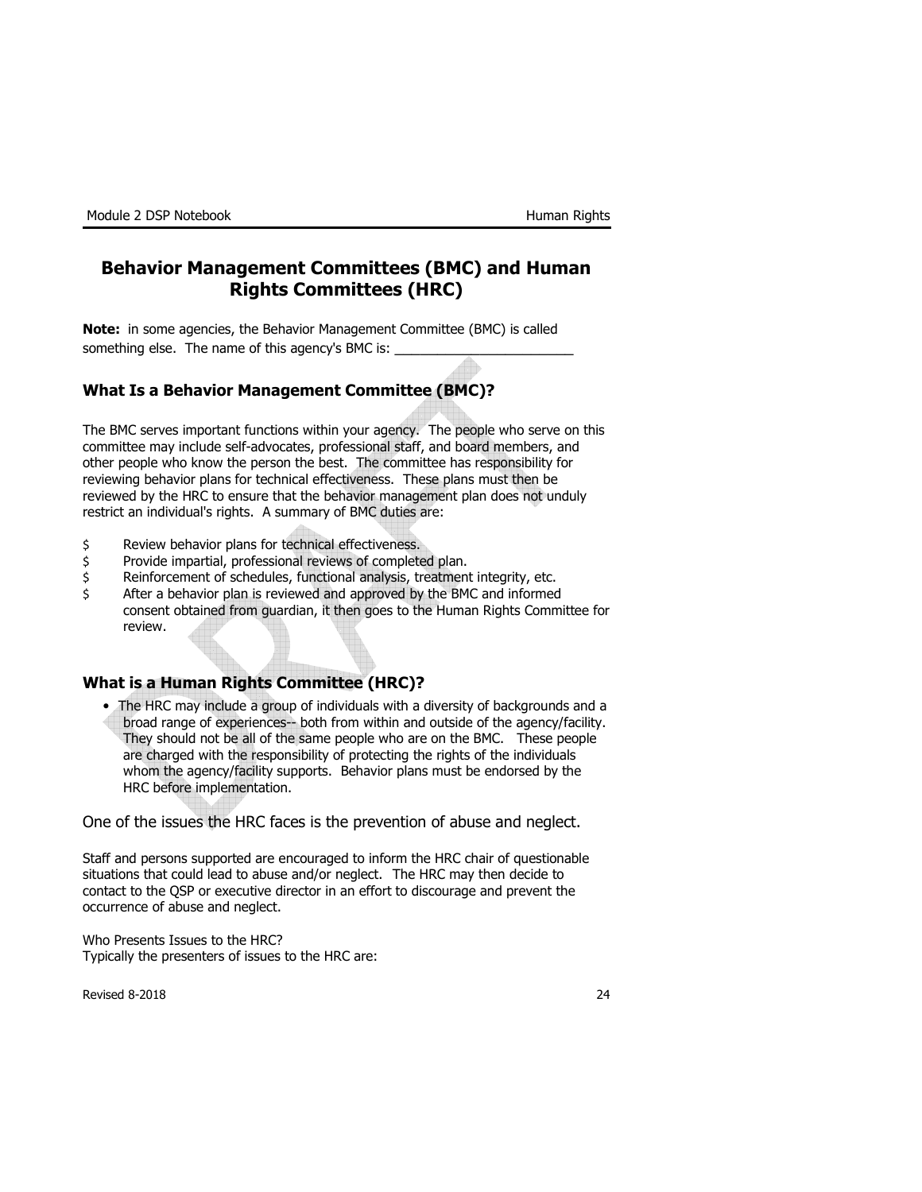# Behavior Management Committees (BMC) and Human Rights Committees (HRC)

Note: in some agencies, the Behavior Management Committee (BMC) is called something else. The name of this agency's BMC is: \_

# What Is a Behavior Management Committee (BMC)?

The BMC serves important functions within your agency. The people who serve on this committee may include self-advocates, professional staff, and board members, and other people who know the person the best. The committee has responsibility for reviewing behavior plans for technical effectiveness. These plans must then be reviewed by the HRC to ensure that the behavior management plan does not unduly restrict an individual's rights. A summary of BMC duties are:

- \$ Review behavior plans for technical effectiveness.
- \$ Provide impartial, professional reviews of completed plan.
- \$ Reinforcement of schedules, functional analysis, treatment integrity, etc.
- \$ After a behavior plan is reviewed and approved by the BMC and informed consent obtained from guardian, it then goes to the Human Rights Committee for review.

## What is a Human Rights Committee (HRC)?

• The HRC may include a group of individuals with a diversity of backgrounds and a broad range of experiences-- both from within and outside of the agency/facility. They should not be all of the same people who are on the BMC. These people are charged with the responsibility of protecting the rights of the individuals whom the agency/facility supports. Behavior plans must be endorsed by the HRC before implementation.

One of the issues the HRC faces is the prevention of abuse and neglect.

Staff and persons supported are encouraged to inform the HRC chair of questionable situations that could lead to abuse and/or neglect. The HRC may then decide to contact to the QSP or executive director in an effort to discourage and prevent the occurrence of abuse and neglect.

Who Presents Issues to the HRC? Typically the presenters of issues to the HRC are: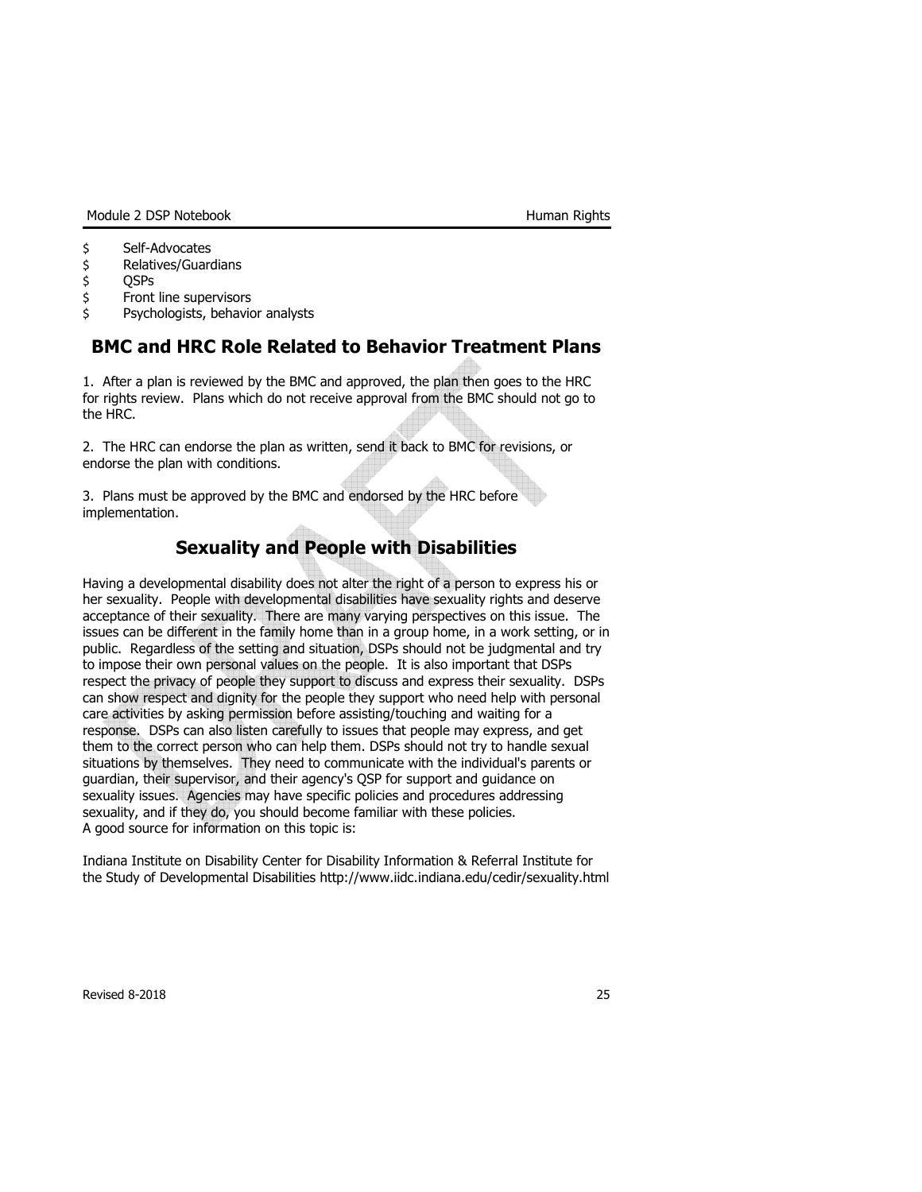Module 2 DSP Notebook **Human Rights** 

- \$ Self-Advocates
- \$ Relatives/Guardians
- \$ QSPs
- \$ Front line supervisors
- \$ Psychologists, behavior analysts

# BMC and HRC Role Related to Behavior Treatment Plans

1. After a plan is reviewed by the BMC and approved, the plan then goes to the HRC for rights review. Plans which do not receive approval from the BMC should not go to the HRC.

2. The HRC can endorse the plan as written, send it back to BMC for revisions, or endorse the plan with conditions.

3. Plans must be approved by the BMC and endorsed by the HRC before implementation.

# Sexuality and People with Disabilities

Having a developmental disability does not alter the right of a person to express his or her sexuality. People with developmental disabilities have sexuality rights and deserve acceptance of their sexuality. There are many varying perspectives on this issue. The issues can be different in the family home than in a group home, in a work setting, or in public. Regardless of the setting and situation, DSPs should not be judgmental and try to impose their own personal values on the people. It is also important that DSPs respect the privacy of people they support to discuss and express their sexuality. DSPs can show respect and dignity for the people they support who need help with personal care activities by asking permission before assisting/touching and waiting for a response. DSPs can also listen carefully to issues that people may express, and get them to the correct person who can help them. DSPs should not try to handle sexual situations by themselves. They need to communicate with the individual's parents or guardian, their supervisor, and their agency's QSP for support and guidance on sexuality issues. Agencies may have specific policies and procedures addressing sexuality, and if they do, you should become familiar with these policies. A good source for information on this topic is:

Indiana Institute on Disability Center for Disability Information & Referral Institute for the Study of Developmental Disabilities http://www.iidc.indiana.edu/cedir/sexuality.html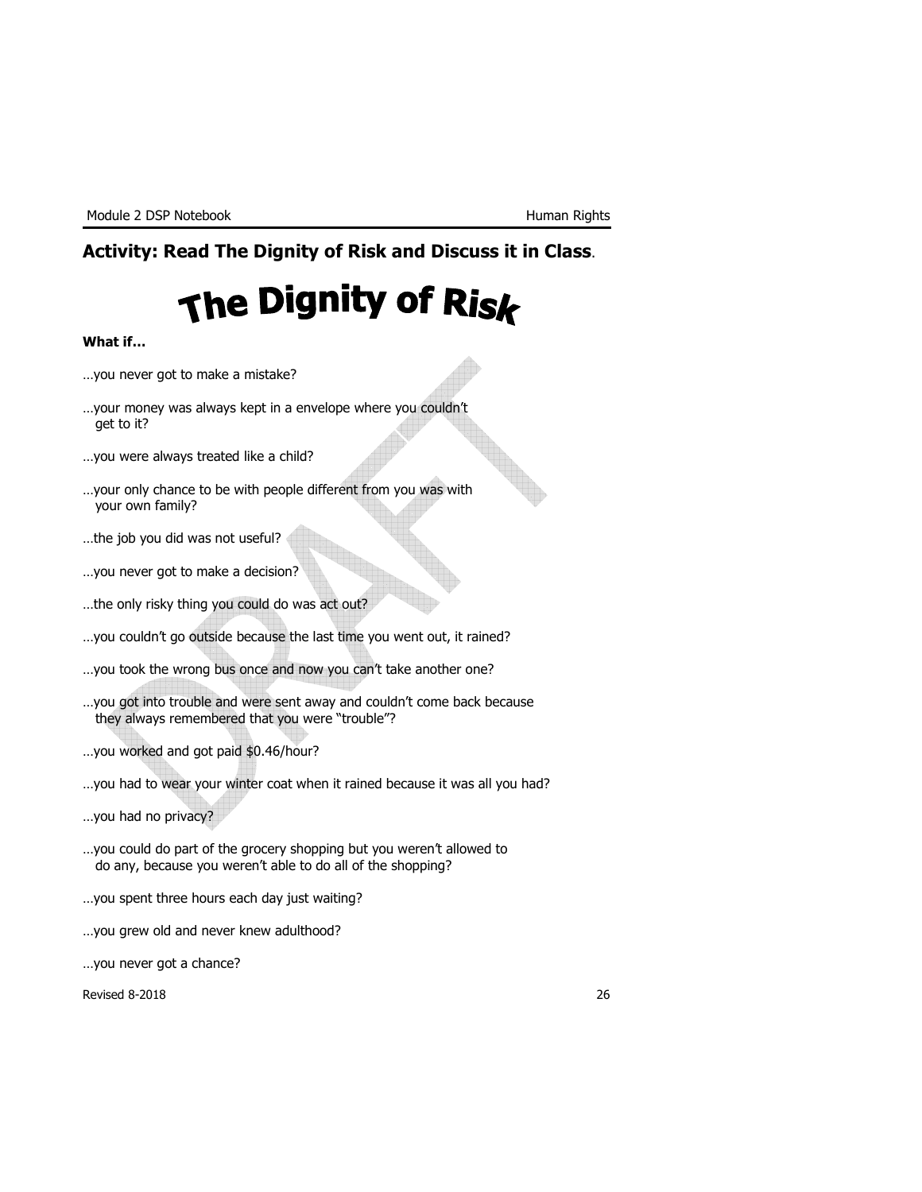# Activity: Read The Dignity of Risk and Discuss it in Class.

# The Dignity of Risk

#### What if…

- …you never got to make a mistake?
- …your money was always kept in a envelope where you couldn't get to it?
- …you were always treated like a child?
- …your only chance to be with people different from you was with your own family?
- …the job you did was not useful?
- …you never got to make a decision?
- …the only risky thing you could do was act out?
- …you couldn't go outside because the last time you went out, it rained?
- …you took the wrong bus once and now you can't take another one?
- …you got into trouble and were sent away and couldn't come back because they always remembered that you were "trouble"?
- …you worked and got paid \$0.46/hour?
- …you had to wear your winter coat when it rained because it was all you had?
- …you had no privacy?
- …you could do part of the grocery shopping but you weren't allowed to do any, because you weren't able to do all of the shopping?
- …you spent three hours each day just waiting?
- …you grew old and never knew adulthood?
- …you never got a chance?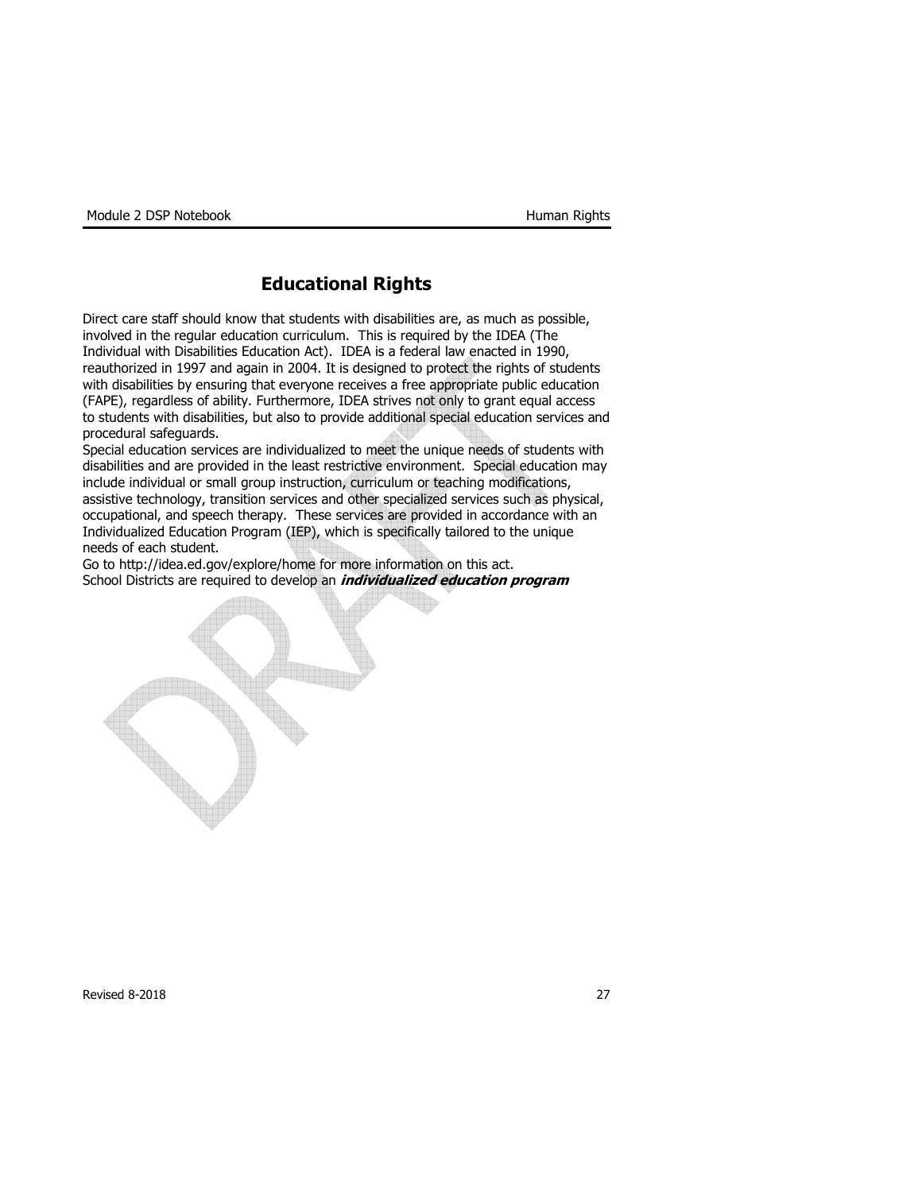# Educational Rights

Direct care staff should know that students with disabilities are, as much as possible, involved in the regular education curriculum. This is required by the IDEA (The Individual with Disabilities Education Act). IDEA is a federal law enacted in 1990, reauthorized in 1997 and again in 2004. It is designed to protect the rights of students with disabilities by ensuring that everyone receives a free appropriate public education (FAPE), regardless of ability. Furthermore, IDEA strives not only to grant equal access to students with disabilities, but also to provide additional special education services and procedural safeguards.

Special education services are individualized to meet the unique needs of students with disabilities and are provided in the least restrictive environment. Special education may include individual or small group instruction, curriculum or teaching modifications, assistive technology, transition services and other specialized services such as physical, occupational, and speech therapy. These services are provided in accordance with an Individualized Education Program (IEP), which is specifically tailored to the unique needs of each student.

Go to http://idea.ed.gov/explore/home for more information on this act. School Districts are required to develop an *individualized education program*